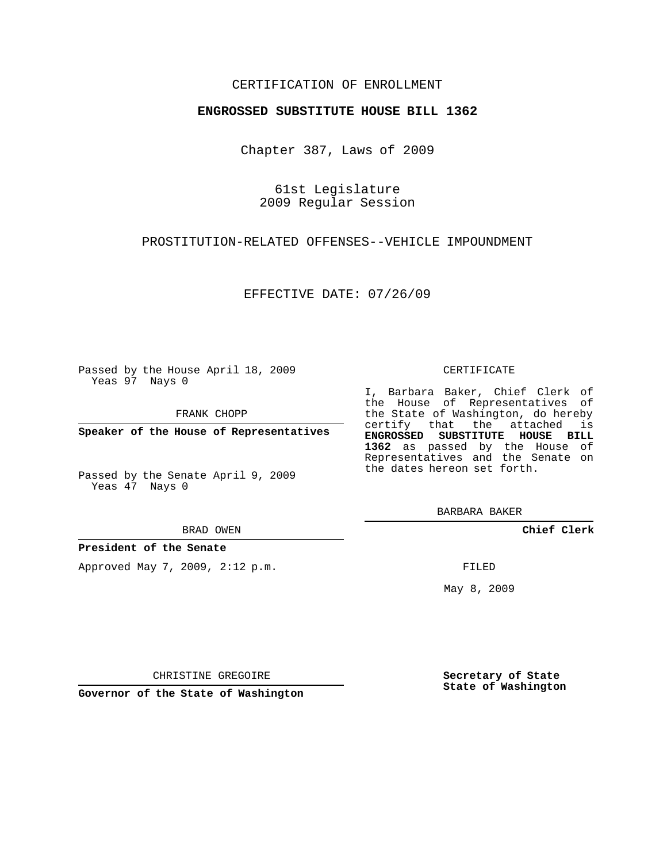### CERTIFICATION OF ENROLLMENT

#### **ENGROSSED SUBSTITUTE HOUSE BILL 1362**

Chapter 387, Laws of 2009

61st Legislature 2009 Regular Session

PROSTITUTION-RELATED OFFENSES--VEHICLE IMPOUNDMENT

EFFECTIVE DATE: 07/26/09

Passed by the House April 18, 2009 Yeas 97 Nays 0

FRANK CHOPP

**Speaker of the House of Representatives**

Passed by the Senate April 9, 2009 Yeas 47 Nays 0

BRAD OWEN

**President of the Senate**

Approved May 7, 2009, 2:12 p.m.

#### CERTIFICATE

I, Barbara Baker, Chief Clerk of the House of Representatives of the State of Washington, do hereby certify that the attached is **ENGROSSED SUBSTITUTE HOUSE BILL 1362** as passed by the House of Representatives and the Senate on the dates hereon set forth.

BARBARA BAKER

**Chief Clerk**

FILED

May 8, 2009

**Secretary of State State of Washington**

CHRISTINE GREGOIRE

**Governor of the State of Washington**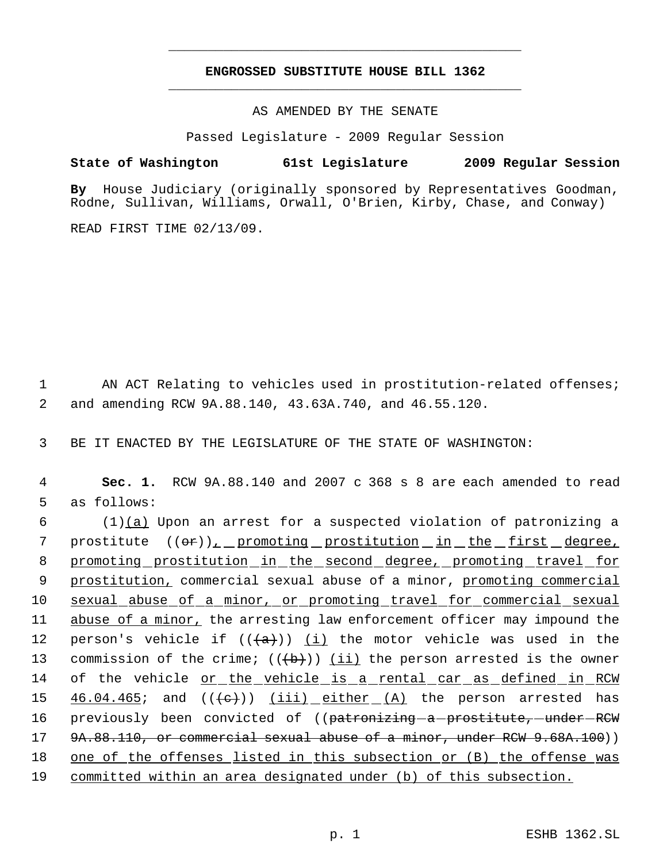# **ENGROSSED SUBSTITUTE HOUSE BILL 1362** \_\_\_\_\_\_\_\_\_\_\_\_\_\_\_\_\_\_\_\_\_\_\_\_\_\_\_\_\_\_\_\_\_\_\_\_\_\_\_\_\_\_\_\_\_

\_\_\_\_\_\_\_\_\_\_\_\_\_\_\_\_\_\_\_\_\_\_\_\_\_\_\_\_\_\_\_\_\_\_\_\_\_\_\_\_\_\_\_\_\_

AS AMENDED BY THE SENATE

Passed Legislature - 2009 Regular Session

## **State of Washington 61st Legislature 2009 Regular Session**

**By** House Judiciary (originally sponsored by Representatives Goodman, Rodne, Sullivan, Williams, Orwall, O'Brien, Kirby, Chase, and Conway)

READ FIRST TIME 02/13/09.

1 AN ACT Relating to vehicles used in prostitution-related offenses; 2 and amending RCW 9A.88.140, 43.63A.740, and 46.55.120.

3 BE IT ENACTED BY THE LEGISLATURE OF THE STATE OF WASHINGTON:

 4 **Sec. 1.** RCW 9A.88.140 and 2007 c 368 s 8 are each amended to read 5 as follows:

6  $(1)(a)$  Upon an arrest for a suspected violation of patronizing a 7 prostitute  $((\theta \cdot \mathbf{r}))_L$  promoting prostitution in the first degree, 8 promoting prostitution in the second degree, promoting travel for 9 prostitution, commercial sexual abuse of a minor, promoting commercial 10 sexual abuse of a minor, or promoting travel for commercial sexual 11 abuse of a minor, the arresting law enforcement officer may impound the 12 person's vehicle if  $((+a))$  (i) the motor vehicle was used in the 13 commission of the crime;  $((+b))$  (ii) the person arrested is the owner 14 of the vehicle <u>or the vehicle is a rental car as defined in RCW</u> 15  $46.04.465$ ; and  $((e+))$   $(iii)$  either  $(A)$  the person arrested has 16 previously been convicted of ((patronizing-a-prostitute,-under-RCW 17 9A.88.110, or commercial sexual abuse of a minor, under RCW 9.68A.100)) 18 one of the offenses listed in this subsection or (B) the offense was 19 committed within an area designated under (b) of this subsection.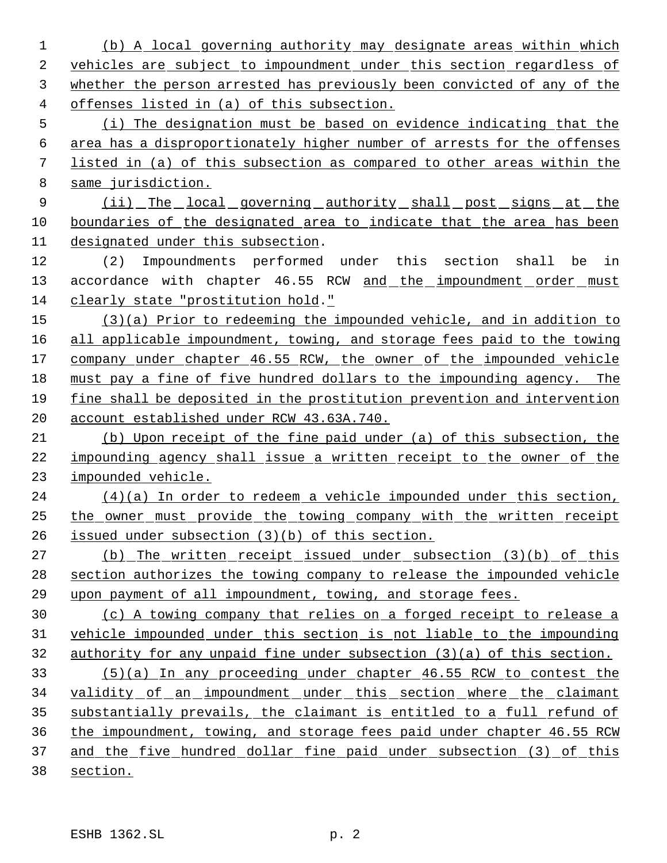(b) A local governing authority may designate areas within which vehicles are subject to impoundment under this section regardless of whether the person arrested has previously been convicted of any of the offenses listed in (a) of this subsection.

 (i) The designation must be based on evidence indicating that the area has a disproportionately higher number of arrests for the offenses listed in (a) of this subsection as compared to other areas within the same jurisdiction.

9 (ii) The local governing authority shall post signs at the 10 boundaries of the designated area to indicate that the area has been designated under this subsection.

 (2) Impoundments performed under this section shall be in 13 accordance with chapter 46.55 RCW and the impoundment order must clearly state "prostitution hold."

 (3)(a) Prior to redeeming the impounded vehicle, and in addition to all applicable impoundment, towing, and storage fees paid to the towing company under chapter 46.55 RCW, the owner of the impounded vehicle must pay a fine of five hundred dollars to the impounding agency. The fine shall be deposited in the prostitution prevention and intervention account established under RCW 43.63A.740.

 (b) Upon receipt of the fine paid under (a) of this subsection, the 22 impounding agency shall issue a written receipt to the owner of the impounded vehicle.

 (4)(a) In order to redeem a vehicle impounded under this section, the owner must provide the towing company with the written receipt issued under subsection (3)(b) of this section.

 (b) The written receipt issued under subsection (3)(b) of this section authorizes the towing company to release the impounded vehicle upon payment of all impoundment, towing, and storage fees.

 (c) A towing company that relies on a forged receipt to release a vehicle impounded under this section is not liable to the impounding authority for any unpaid fine under subsection (3)(a) of this section.

 (5)(a) In any proceeding under chapter 46.55 RCW to contest the validity of an impoundment under this section where the claimant substantially prevails, the claimant is entitled to a full refund of the impoundment, towing, and storage fees paid under chapter 46.55 RCW 37 and the five hundred dollar fine paid under subsection (3) of this section.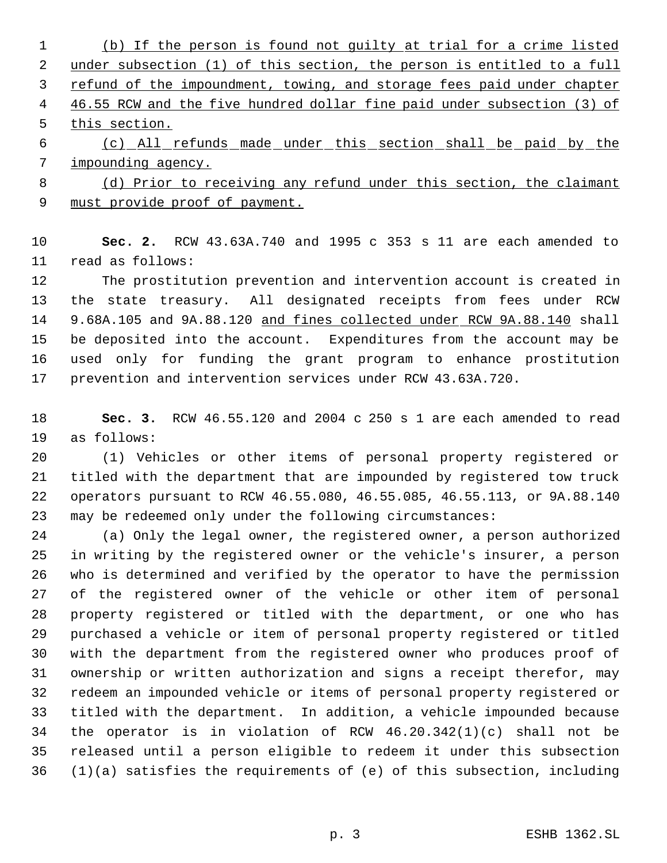(b) If the person is found not guilty at trial for a crime listed under subsection (1) of this section, the person is entitled to a full 3 refund of the impoundment, towing, and storage fees paid under chapter 4 46.55 RCW and the five hundred dollar fine paid under subsection (3) of this section. (c) All refunds made under this section shall be paid by the impounding agency. (d) Prior to receiving any refund under this section, the claimant

9 must provide proof of payment.

 **Sec. 2.** RCW 43.63A.740 and 1995 c 353 s 11 are each amended to read as follows:

 The prostitution prevention and intervention account is created in the state treasury. All designated receipts from fees under RCW 14 9.68A.105 and 9A.88.120 and fines collected under RCW 9A.88.140 shall be deposited into the account. Expenditures from the account may be used only for funding the grant program to enhance prostitution prevention and intervention services under RCW 43.63A.720.

 **Sec. 3.** RCW 46.55.120 and 2004 c 250 s 1 are each amended to read as follows:

 (1) Vehicles or other items of personal property registered or titled with the department that are impounded by registered tow truck operators pursuant to RCW 46.55.080, 46.55.085, 46.55.113, or 9A.88.140 may be redeemed only under the following circumstances:

 (a) Only the legal owner, the registered owner, a person authorized in writing by the registered owner or the vehicle's insurer, a person who is determined and verified by the operator to have the permission of the registered owner of the vehicle or other item of personal property registered or titled with the department, or one who has purchased a vehicle or item of personal property registered or titled with the department from the registered owner who produces proof of ownership or written authorization and signs a receipt therefor, may redeem an impounded vehicle or items of personal property registered or titled with the department. In addition, a vehicle impounded because the operator is in violation of RCW 46.20.342(1)(c) shall not be released until a person eligible to redeem it under this subsection (1)(a) satisfies the requirements of (e) of this subsection, including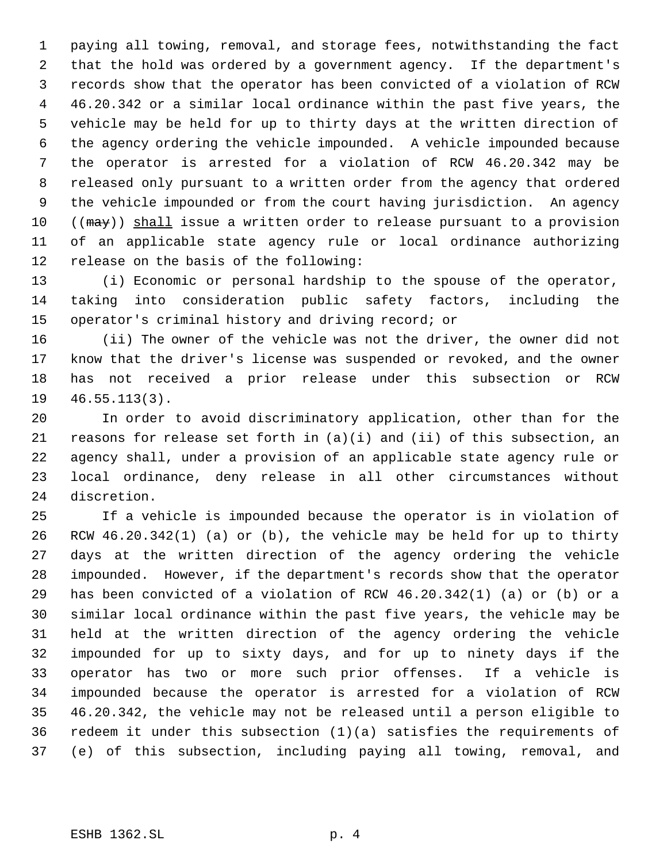paying all towing, removal, and storage fees, notwithstanding the fact that the hold was ordered by a government agency. If the department's records show that the operator has been convicted of a violation of RCW 46.20.342 or a similar local ordinance within the past five years, the vehicle may be held for up to thirty days at the written direction of the agency ordering the vehicle impounded. A vehicle impounded because the operator is arrested for a violation of RCW 46.20.342 may be released only pursuant to a written order from the agency that ordered the vehicle impounded or from the court having jurisdiction. An agency  $((\text{max}))$  shall issue a written order to release pursuant to a provision of an applicable state agency rule or local ordinance authorizing release on the basis of the following:

 (i) Economic or personal hardship to the spouse of the operator, taking into consideration public safety factors, including the operator's criminal history and driving record; or

 (ii) The owner of the vehicle was not the driver, the owner did not know that the driver's license was suspended or revoked, and the owner has not received a prior release under this subsection or RCW 46.55.113(3).

 In order to avoid discriminatory application, other than for the reasons for release set forth in (a)(i) and (ii) of this subsection, an agency shall, under a provision of an applicable state agency rule or local ordinance, deny release in all other circumstances without discretion.

 If a vehicle is impounded because the operator is in violation of RCW 46.20.342(1) (a) or (b), the vehicle may be held for up to thirty days at the written direction of the agency ordering the vehicle impounded. However, if the department's records show that the operator has been convicted of a violation of RCW 46.20.342(1) (a) or (b) or a similar local ordinance within the past five years, the vehicle may be held at the written direction of the agency ordering the vehicle impounded for up to sixty days, and for up to ninety days if the operator has two or more such prior offenses. If a vehicle is impounded because the operator is arrested for a violation of RCW 46.20.342, the vehicle may not be released until a person eligible to redeem it under this subsection (1)(a) satisfies the requirements of (e) of this subsection, including paying all towing, removal, and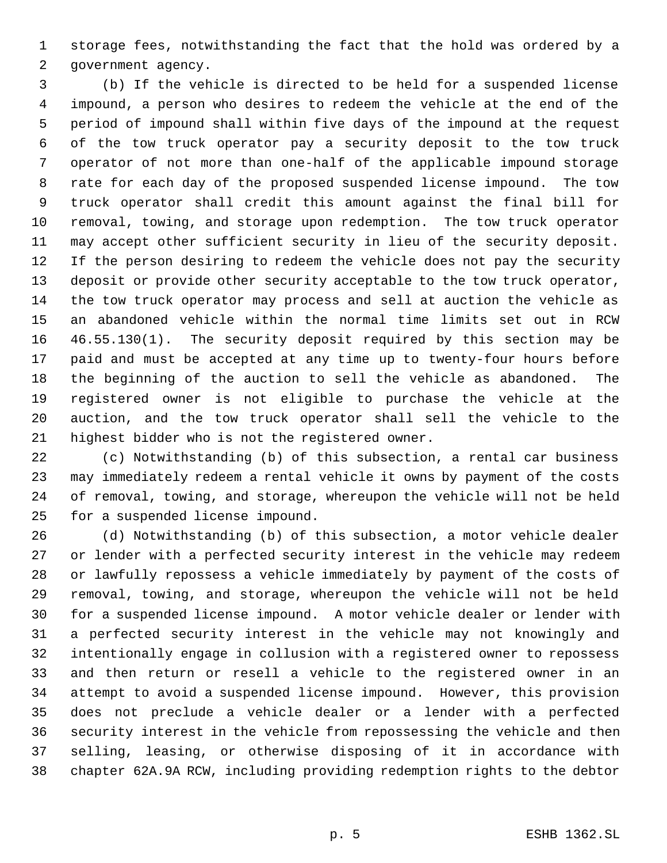storage fees, notwithstanding the fact that the hold was ordered by a government agency.

 (b) If the vehicle is directed to be held for a suspended license impound, a person who desires to redeem the vehicle at the end of the period of impound shall within five days of the impound at the request of the tow truck operator pay a security deposit to the tow truck operator of not more than one-half of the applicable impound storage rate for each day of the proposed suspended license impound. The tow truck operator shall credit this amount against the final bill for removal, towing, and storage upon redemption. The tow truck operator may accept other sufficient security in lieu of the security deposit. If the person desiring to redeem the vehicle does not pay the security deposit or provide other security acceptable to the tow truck operator, the tow truck operator may process and sell at auction the vehicle as an abandoned vehicle within the normal time limits set out in RCW 46.55.130(1). The security deposit required by this section may be paid and must be accepted at any time up to twenty-four hours before the beginning of the auction to sell the vehicle as abandoned. The registered owner is not eligible to purchase the vehicle at the auction, and the tow truck operator shall sell the vehicle to the highest bidder who is not the registered owner.

 (c) Notwithstanding (b) of this subsection, a rental car business may immediately redeem a rental vehicle it owns by payment of the costs of removal, towing, and storage, whereupon the vehicle will not be held for a suspended license impound.

 (d) Notwithstanding (b) of this subsection, a motor vehicle dealer or lender with a perfected security interest in the vehicle may redeem or lawfully repossess a vehicle immediately by payment of the costs of removal, towing, and storage, whereupon the vehicle will not be held for a suspended license impound. A motor vehicle dealer or lender with a perfected security interest in the vehicle may not knowingly and intentionally engage in collusion with a registered owner to repossess and then return or resell a vehicle to the registered owner in an attempt to avoid a suspended license impound. However, this provision does not preclude a vehicle dealer or a lender with a perfected security interest in the vehicle from repossessing the vehicle and then selling, leasing, or otherwise disposing of it in accordance with chapter 62A.9A RCW, including providing redemption rights to the debtor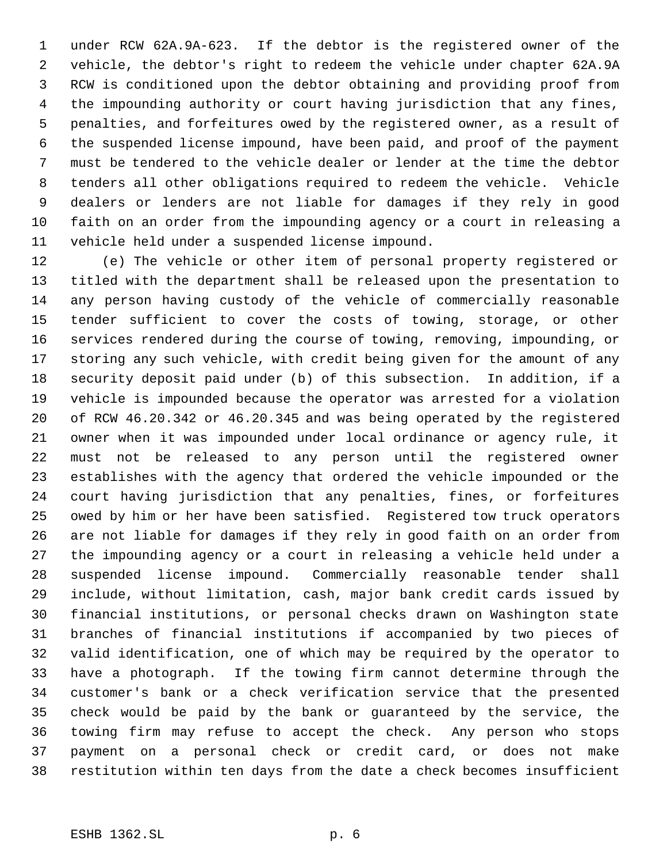under RCW 62A.9A-623. If the debtor is the registered owner of the vehicle, the debtor's right to redeem the vehicle under chapter 62A.9A RCW is conditioned upon the debtor obtaining and providing proof from the impounding authority or court having jurisdiction that any fines, penalties, and forfeitures owed by the registered owner, as a result of the suspended license impound, have been paid, and proof of the payment must be tendered to the vehicle dealer or lender at the time the debtor tenders all other obligations required to redeem the vehicle. Vehicle dealers or lenders are not liable for damages if they rely in good faith on an order from the impounding agency or a court in releasing a vehicle held under a suspended license impound.

 (e) The vehicle or other item of personal property registered or titled with the department shall be released upon the presentation to any person having custody of the vehicle of commercially reasonable tender sufficient to cover the costs of towing, storage, or other services rendered during the course of towing, removing, impounding, or storing any such vehicle, with credit being given for the amount of any security deposit paid under (b) of this subsection. In addition, if a vehicle is impounded because the operator was arrested for a violation of RCW 46.20.342 or 46.20.345 and was being operated by the registered owner when it was impounded under local ordinance or agency rule, it must not be released to any person until the registered owner establishes with the agency that ordered the vehicle impounded or the court having jurisdiction that any penalties, fines, or forfeitures owed by him or her have been satisfied. Registered tow truck operators are not liable for damages if they rely in good faith on an order from the impounding agency or a court in releasing a vehicle held under a suspended license impound. Commercially reasonable tender shall include, without limitation, cash, major bank credit cards issued by financial institutions, or personal checks drawn on Washington state branches of financial institutions if accompanied by two pieces of valid identification, one of which may be required by the operator to have a photograph. If the towing firm cannot determine through the customer's bank or a check verification service that the presented check would be paid by the bank or guaranteed by the service, the towing firm may refuse to accept the check. Any person who stops payment on a personal check or credit card, or does not make restitution within ten days from the date a check becomes insufficient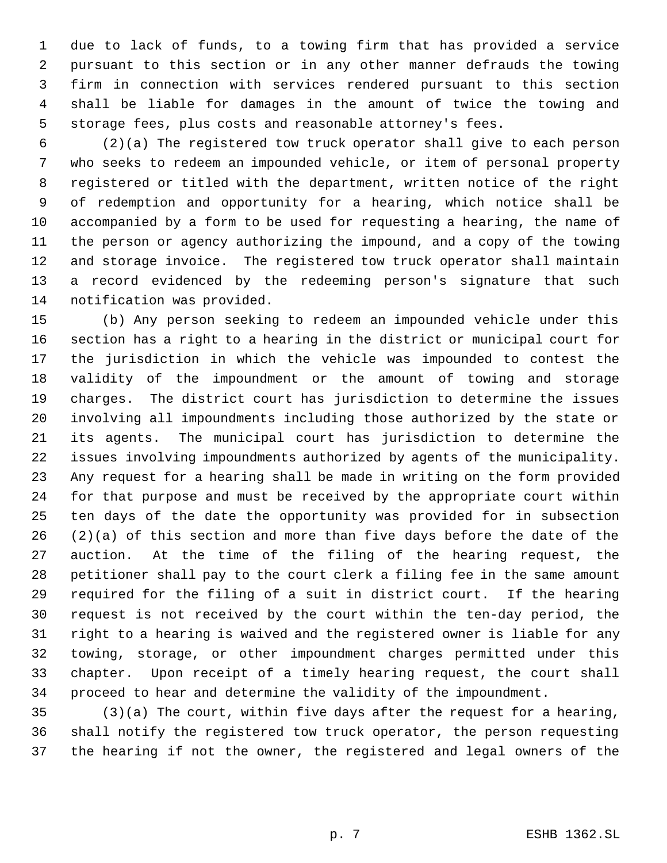due to lack of funds, to a towing firm that has provided a service pursuant to this section or in any other manner defrauds the towing firm in connection with services rendered pursuant to this section shall be liable for damages in the amount of twice the towing and storage fees, plus costs and reasonable attorney's fees.

 (2)(a) The registered tow truck operator shall give to each person who seeks to redeem an impounded vehicle, or item of personal property registered or titled with the department, written notice of the right of redemption and opportunity for a hearing, which notice shall be accompanied by a form to be used for requesting a hearing, the name of the person or agency authorizing the impound, and a copy of the towing and storage invoice. The registered tow truck operator shall maintain a record evidenced by the redeeming person's signature that such notification was provided.

 (b) Any person seeking to redeem an impounded vehicle under this section has a right to a hearing in the district or municipal court for the jurisdiction in which the vehicle was impounded to contest the validity of the impoundment or the amount of towing and storage charges. The district court has jurisdiction to determine the issues involving all impoundments including those authorized by the state or its agents. The municipal court has jurisdiction to determine the issues involving impoundments authorized by agents of the municipality. Any request for a hearing shall be made in writing on the form provided for that purpose and must be received by the appropriate court within ten days of the date the opportunity was provided for in subsection (2)(a) of this section and more than five days before the date of the auction. At the time of the filing of the hearing request, the petitioner shall pay to the court clerk a filing fee in the same amount required for the filing of a suit in district court. If the hearing request is not received by the court within the ten-day period, the right to a hearing is waived and the registered owner is liable for any towing, storage, or other impoundment charges permitted under this chapter. Upon receipt of a timely hearing request, the court shall proceed to hear and determine the validity of the impoundment.

 (3)(a) The court, within five days after the request for a hearing, shall notify the registered tow truck operator, the person requesting the hearing if not the owner, the registered and legal owners of the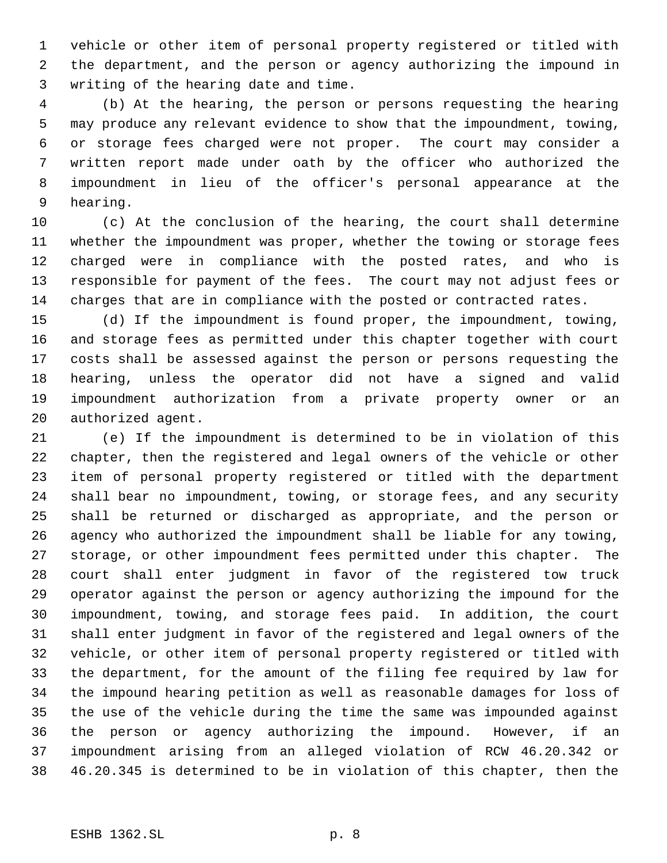vehicle or other item of personal property registered or titled with the department, and the person or agency authorizing the impound in writing of the hearing date and time.

 (b) At the hearing, the person or persons requesting the hearing may produce any relevant evidence to show that the impoundment, towing, or storage fees charged were not proper. The court may consider a written report made under oath by the officer who authorized the impoundment in lieu of the officer's personal appearance at the hearing.

 (c) At the conclusion of the hearing, the court shall determine whether the impoundment was proper, whether the towing or storage fees charged were in compliance with the posted rates, and who is responsible for payment of the fees. The court may not adjust fees or charges that are in compliance with the posted or contracted rates.

 (d) If the impoundment is found proper, the impoundment, towing, and storage fees as permitted under this chapter together with court costs shall be assessed against the person or persons requesting the hearing, unless the operator did not have a signed and valid impoundment authorization from a private property owner or an authorized agent.

 (e) If the impoundment is determined to be in violation of this chapter, then the registered and legal owners of the vehicle or other item of personal property registered or titled with the department shall bear no impoundment, towing, or storage fees, and any security shall be returned or discharged as appropriate, and the person or agency who authorized the impoundment shall be liable for any towing, storage, or other impoundment fees permitted under this chapter. The court shall enter judgment in favor of the registered tow truck operator against the person or agency authorizing the impound for the impoundment, towing, and storage fees paid. In addition, the court shall enter judgment in favor of the registered and legal owners of the vehicle, or other item of personal property registered or titled with the department, for the amount of the filing fee required by law for the impound hearing petition as well as reasonable damages for loss of the use of the vehicle during the time the same was impounded against the person or agency authorizing the impound. However, if an impoundment arising from an alleged violation of RCW 46.20.342 or 46.20.345 is determined to be in violation of this chapter, then the